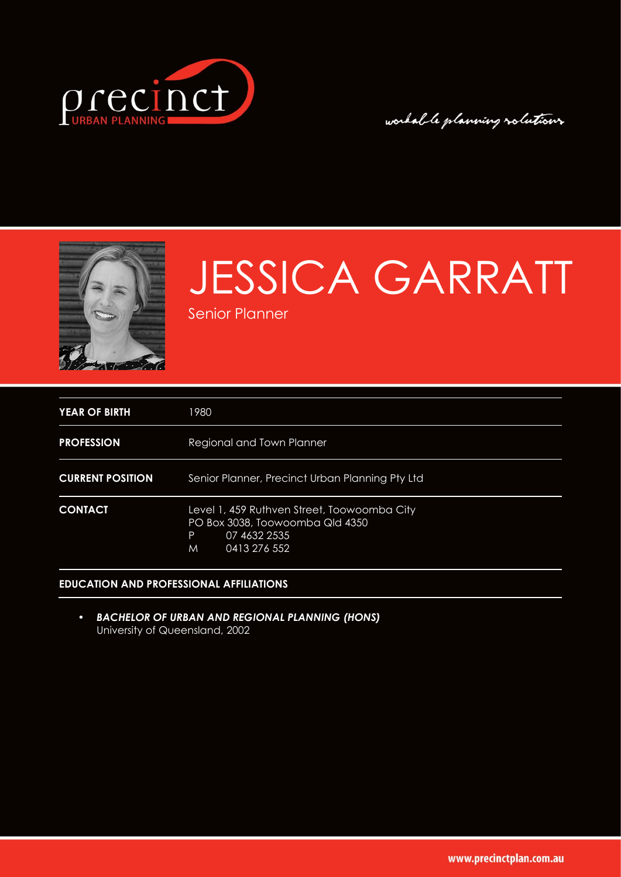

# workable planning rolutions



# JESSICA GARRATT

Senior Planner

| YEAR OF BIRTH           | 1980                                                                                                                     |
|-------------------------|--------------------------------------------------------------------------------------------------------------------------|
| <b>PROFESSION</b>       | Regional and Town Planner                                                                                                |
| <b>CURRENT POSITION</b> | Senior Planner, Precinct Urban Planning Pty Ltd                                                                          |
| <b>CONTACT</b>          | Level 1, 459 Ruthven Street, Toowoomba City<br>PO Box 3038, Toowoomba Qld 4350<br>P<br>07 4632 2535<br>0413 276 552<br>M |

### **EDUCATION AND PROFESSIONAL AFFILIATIONS**

• *BACHELOR OF URBAN AND REGIONAL PLANNING (HONS)*  University of Queensland, 2002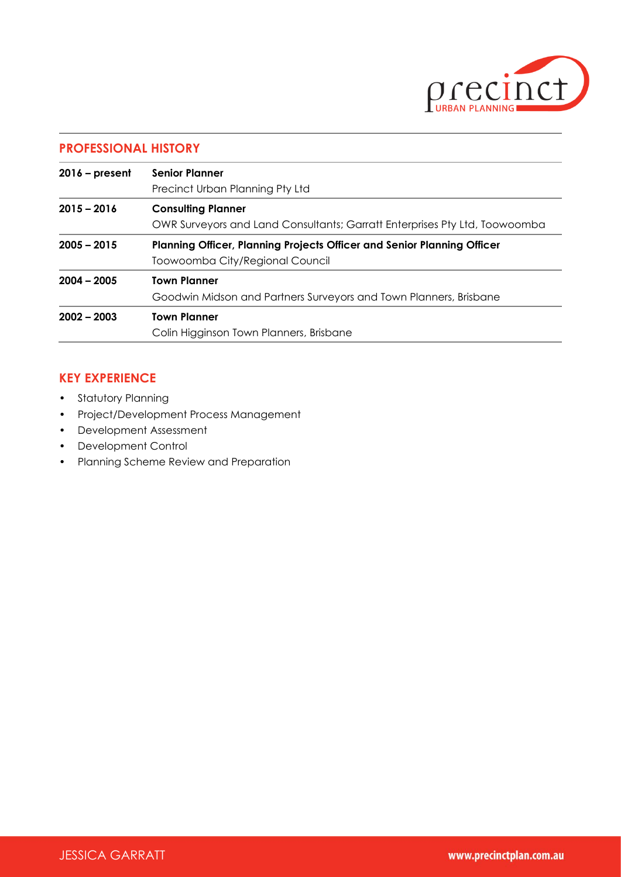

# **PROFESSIONAL HISTORY**

| $2016$ – present | <b>Senior Planner</b>                                                          |  |
|------------------|--------------------------------------------------------------------------------|--|
|                  | Precinct Urban Planning Pty Ltd                                                |  |
| $2015 - 2016$    | <b>Consulting Planner</b>                                                      |  |
|                  | OWR Surveyors and Land Consultants; Garratt Enterprises Pty Ltd, Toowoomba     |  |
| $2005 - 2015$    | <b>Planning Officer, Planning Projects Officer and Senior Planning Officer</b> |  |
|                  | Toowoomba City/Regional Council                                                |  |
| $2004 - 2005$    | <b>Town Planner</b>                                                            |  |
|                  | Goodwin Midson and Partners Surveyors and Town Planners, Brisbane              |  |
| $2002 - 2003$    | <b>Town Planner</b>                                                            |  |
|                  | Colin Higginson Town Planners, Brisbane                                        |  |

## **KEY EXPERIENCE**

- Statutory Planning
- Project/Development Process Management
- Development Assessment
- Development Control
- Planning Scheme Review and Preparation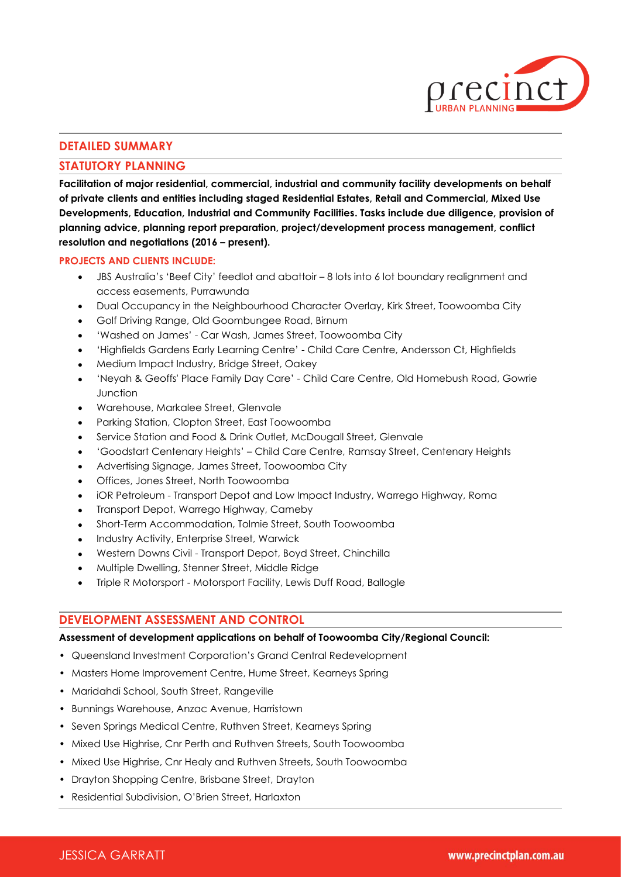

### **DETAILED SUMMARY**

#### **STATUTORY PLANNING**

**Facilitation of major residential, commercial, industrial and community facility developments on behalf of private clients and entities including staged Residential Estates, Retail and Commercial, Mixed Use Developments, Education, Industrial and Community Facilities. Tasks include due diligence, provision of planning advice, planning report preparation, project/development process management, conflict resolution and negotiations (2016 – present).**

#### **PROJECTS AND CLIENTS INCLUDE:**

- JBS Australia's 'Beef City' feedlot and abattoir 8 lots into 6 lot boundary realignment and access easements, Purrawunda
- Dual Occupancy in the Neighbourhood Character Overlay, Kirk Street, Toowoomba City
- Golf Driving Range, Old Goombungee Road, Birnum
- 'Washed on James' Car Wash, James Street, Toowoomba City
- 'Highfields Gardens Early Learning Centre' Child Care Centre, Andersson Ct, Highfields
- Medium Impact Industry, Bridge Street, Oakey
- 'Neyah & Geoffs' Place Family Day Care' Child Care Centre, Old Homebush Road, Gowrie Junction
- Warehouse, Markalee Street, Glenvale
- Parking Station, Clopton Street, East Toowoomba
- Service Station and Food & Drink Outlet, McDougall Street, Glenvale
- 'Goodstart Centenary Heights' Child Care Centre, Ramsay Street, Centenary Heights
- Advertising Signage, James Street, Toowoomba City
- Offices, Jones Street, North Toowoomba
- iOR Petroleum Transport Depot and Low Impact Industry, Warrego Highway, Roma
- Transport Depot, Warrego Highway, Cameby
- Short-Term Accommodation, Tolmie Street, South Toowoomba
- Industry Activity, Enterprise Street, Warwick
- Western Downs Civil Transport Depot, Boyd Street, Chinchilla
- Multiple Dwelling, Stenner Street, Middle Ridge
- Triple R Motorsport Motorsport Facility, Lewis Duff Road, Ballogle

#### **DEVELOPMENT ASSESSMENT AND CONTROL**

#### **Assessment of development applications on behalf of Toowoomba City/Regional Council:**

- Queensland Investment Corporation's Grand Central Redevelopment
- Masters Home Improvement Centre, Hume Street, Kearneys Spring
- Maridahdi School, South Street, Rangeville
- Bunnings Warehouse, Anzac Avenue, Harristown
- Seven Springs Medical Centre, Ruthven Street, Kearneys Spring
- Mixed Use Highrise, Cnr Perth and Ruthven Streets, South Toowoomba
- Mixed Use Highrise, Cnr Healy and Ruthven Streets, South Toowoomba
- Drayton Shopping Centre, Brisbane Street, Drayton
- Residential Subdivision, O'Brien Street, Harlaxton